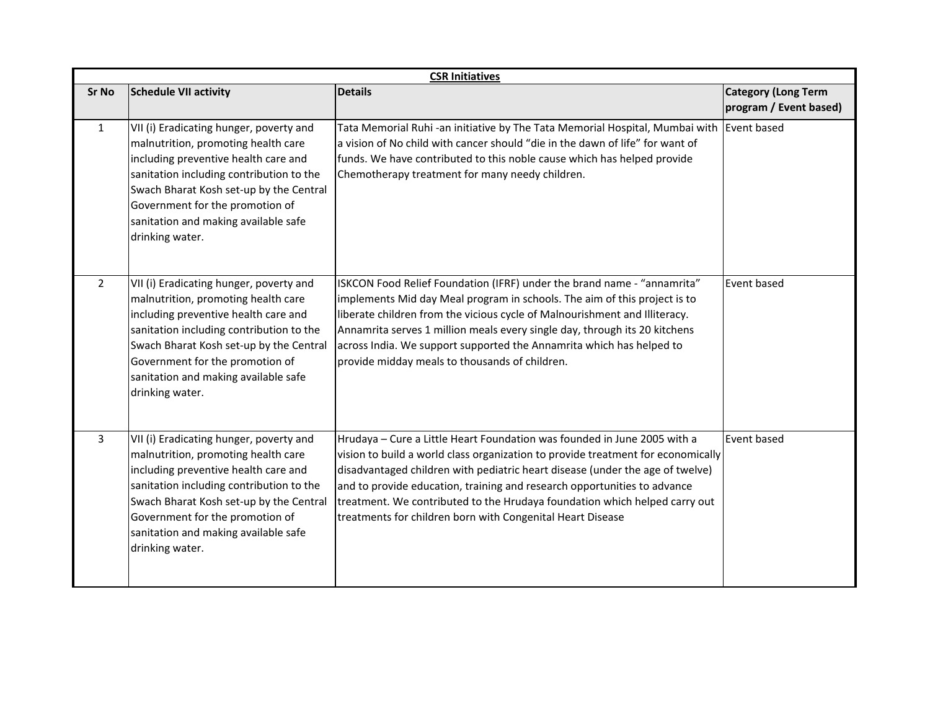|                | <b>CSR Initiatives</b>                                                                                                                                                                                                                                                                                      |                                                                                                                                                                                                                                                                                                                                                                                                                                                                       |                                                      |  |  |  |
|----------------|-------------------------------------------------------------------------------------------------------------------------------------------------------------------------------------------------------------------------------------------------------------------------------------------------------------|-----------------------------------------------------------------------------------------------------------------------------------------------------------------------------------------------------------------------------------------------------------------------------------------------------------------------------------------------------------------------------------------------------------------------------------------------------------------------|------------------------------------------------------|--|--|--|
| <b>Sr No</b>   | <b>Schedule VII activity</b>                                                                                                                                                                                                                                                                                | <b>Details</b>                                                                                                                                                                                                                                                                                                                                                                                                                                                        | <b>Category (Long Term</b><br>program / Event based) |  |  |  |
| $\mathbf{1}$   | VII (i) Eradicating hunger, poverty and<br>malnutrition, promoting health care<br>including preventive health care and<br>sanitation including contribution to the<br>Swach Bharat Kosh set-up by the Central<br>Government for the promotion of<br>sanitation and making available safe<br>drinking water. | Tata Memorial Ruhi-an initiative by The Tata Memorial Hospital, Mumbai with Event based<br>a vision of No child with cancer should "die in the dawn of life" for want of<br>funds. We have contributed to this noble cause which has helped provide<br>Chemotherapy treatment for many needy children.                                                                                                                                                                |                                                      |  |  |  |
| $\overline{2}$ | VII (i) Eradicating hunger, poverty and<br>malnutrition, promoting health care<br>including preventive health care and<br>sanitation including contribution to the<br>Swach Bharat Kosh set-up by the Central<br>Government for the promotion of<br>sanitation and making available safe<br>drinking water. | ISKCON Food Relief Foundation (IFRF) under the brand name - "annamrita"<br>implements Mid day Meal program in schools. The aim of this project is to<br>liberate children from the vicious cycle of Malnourishment and Illiteracy.<br>Annamrita serves 1 million meals every single day, through its 20 kitchens<br>across India. We support supported the Annamrita which has helped to<br>provide midday meals to thousands of children.                            | Event based                                          |  |  |  |
| $\mathbf{3}$   | VII (i) Eradicating hunger, poverty and<br>malnutrition, promoting health care<br>including preventive health care and<br>sanitation including contribution to the<br>Swach Bharat Kosh set-up by the Central<br>Government for the promotion of<br>sanitation and making available safe<br>drinking water. | Hrudaya - Cure a Little Heart Foundation was founded in June 2005 with a<br>vision to build a world class organization to provide treatment for economically<br>disadvantaged children with pediatric heart disease (under the age of twelve)<br>and to provide education, training and research opportunities to advance<br>treatment. We contributed to the Hrudaya foundation which helped carry out<br>treatments for children born with Congenital Heart Disease | Event based                                          |  |  |  |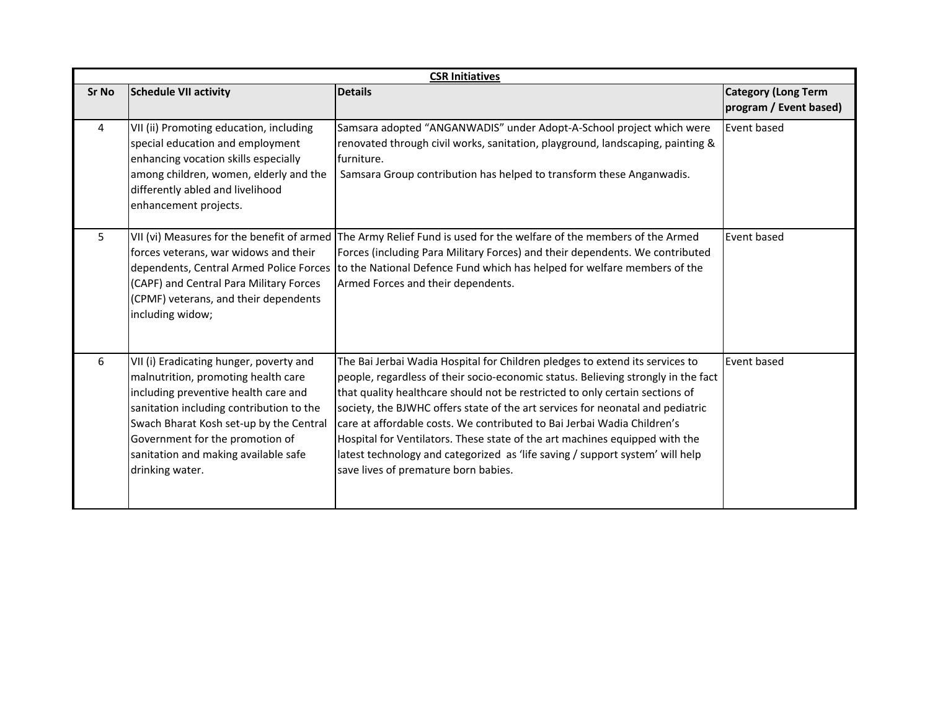| <b>CSR Initiatives</b> |                                                                                                                                                                                                                                                                                                             |                                                                                                                                                                                                                                                                                                                                                                                                                                                                                                                                                                                                                        |                                                      |  |  |
|------------------------|-------------------------------------------------------------------------------------------------------------------------------------------------------------------------------------------------------------------------------------------------------------------------------------------------------------|------------------------------------------------------------------------------------------------------------------------------------------------------------------------------------------------------------------------------------------------------------------------------------------------------------------------------------------------------------------------------------------------------------------------------------------------------------------------------------------------------------------------------------------------------------------------------------------------------------------------|------------------------------------------------------|--|--|
| Sr No                  | <b>Schedule VII activity</b>                                                                                                                                                                                                                                                                                | <b>Details</b>                                                                                                                                                                                                                                                                                                                                                                                                                                                                                                                                                                                                         | <b>Category (Long Term</b><br>program / Event based) |  |  |
| 4                      | VII (ii) Promoting education, including<br>special education and employment<br>enhancing vocation skills especially<br>among children, women, elderly and the<br>differently abled and livelihood<br>enhancement projects.                                                                                  | Samsara adopted "ANGANWADIS" under Adopt-A-School project which were<br>renovated through civil works, sanitation, playground, landscaping, painting &<br>furniture.<br>Samsara Group contribution has helped to transform these Anganwadis.                                                                                                                                                                                                                                                                                                                                                                           | Event based                                          |  |  |
| 5 <sup>5</sup>         | VII (vi) Measures for the benefit of armed<br>forces veterans, war widows and their<br>dependents, Central Armed Police Forces<br>(CAPF) and Central Para Military Forces<br>(CPMF) veterans, and their dependents<br>including widow;                                                                      | The Army Relief Fund is used for the welfare of the members of the Armed<br>Forces (including Para Military Forces) and their dependents. We contributed<br>to the National Defence Fund which has helped for welfare members of the<br>Armed Forces and their dependents.                                                                                                                                                                                                                                                                                                                                             | Event based                                          |  |  |
| 6                      | VII (i) Eradicating hunger, poverty and<br>malnutrition, promoting health care<br>including preventive health care and<br>sanitation including contribution to the<br>Swach Bharat Kosh set-up by the Central<br>Government for the promotion of<br>sanitation and making available safe<br>drinking water. | The Bai Jerbai Wadia Hospital for Children pledges to extend its services to<br>people, regardless of their socio-economic status. Believing strongly in the fact<br>that quality healthcare should not be restricted to only certain sections of<br>society, the BJWHC offers state of the art services for neonatal and pediatric<br>care at affordable costs. We contributed to Bai Jerbai Wadia Children's<br>Hospital for Ventilators. These state of the art machines equipped with the<br>latest technology and categorized as 'life saving / support system' will help<br>save lives of premature born babies. | Event based                                          |  |  |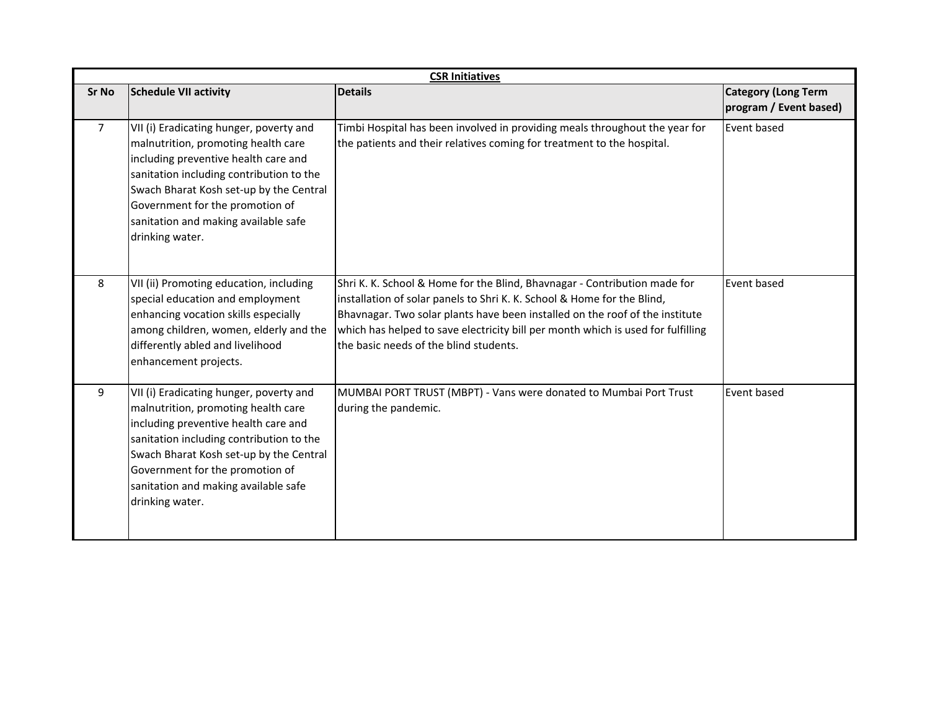| <b>CSR Initiatives</b> |                                                                                                                                                                                                                                                                                                             |                                                                                                                                                                                                                                                                                                                                                                    |                                                      |  |  |
|------------------------|-------------------------------------------------------------------------------------------------------------------------------------------------------------------------------------------------------------------------------------------------------------------------------------------------------------|--------------------------------------------------------------------------------------------------------------------------------------------------------------------------------------------------------------------------------------------------------------------------------------------------------------------------------------------------------------------|------------------------------------------------------|--|--|
| Sr No                  | <b>Schedule VII activity</b>                                                                                                                                                                                                                                                                                | <b>Details</b>                                                                                                                                                                                                                                                                                                                                                     | <b>Category (Long Term</b><br>program / Event based) |  |  |
| $\overline{7}$         | VII (i) Eradicating hunger, poverty and<br>malnutrition, promoting health care<br>including preventive health care and<br>sanitation including contribution to the<br>Swach Bharat Kosh set-up by the Central<br>Government for the promotion of<br>sanitation and making available safe<br>drinking water. | Timbi Hospital has been involved in providing meals throughout the year for<br>the patients and their relatives coming for treatment to the hospital.                                                                                                                                                                                                              | Event based                                          |  |  |
| 8                      | VII (ii) Promoting education, including<br>special education and employment<br>enhancing vocation skills especially<br>among children, women, elderly and the<br>differently abled and livelihood<br>enhancement projects.                                                                                  | Shri K. K. School & Home for the Blind, Bhavnagar - Contribution made for<br>installation of solar panels to Shri K. K. School & Home for the Blind,<br>Bhavnagar. Two solar plants have been installed on the roof of the institute<br>which has helped to save electricity bill per month which is used for fulfilling<br>the basic needs of the blind students. | Event based                                          |  |  |
| 9                      | VII (i) Eradicating hunger, poverty and<br>malnutrition, promoting health care<br>including preventive health care and<br>sanitation including contribution to the<br>Swach Bharat Kosh set-up by the Central<br>Government for the promotion of<br>sanitation and making available safe<br>drinking water. | MUMBAI PORT TRUST (MBPT) - Vans were donated to Mumbai Port Trust<br>during the pandemic.                                                                                                                                                                                                                                                                          | Event based                                          |  |  |